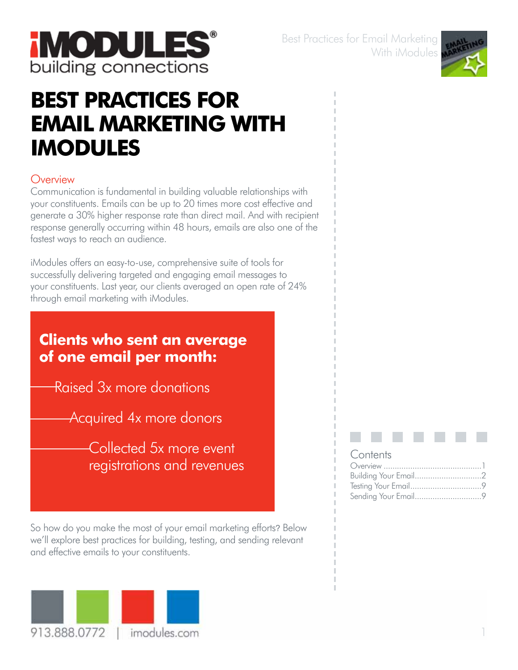

Best Practices for Email Marketing With iModules



# **Best Practices for Email Marketing With iModules**

## **Overview**

Communication is fundamental in building valuable relationships with your constituents. Emails can be up to 20 times more cost effective and generate a 30% higher response rate than direct mail. And with recipient response generally occurring within 48 hours, emails are also one of the fastest ways to reach an audience.

iModules offers an easy-to-use, comprehensive suite of tools for successfully delivering targeted and engaging email messages to your constituents. Last year, our clients averaged an open rate of 24% through email marketing with iModules.

# **Clients who sent an average of one email per month:**

Raised 3x more donations

Acquired 4x more donors

Collected 5x more event registrations and revenues

So how do you make the most of your email marketing efforts? Below we'll explore best practices for building, testing, and sending relevant and effective emails to your constituents.



#### **Contents**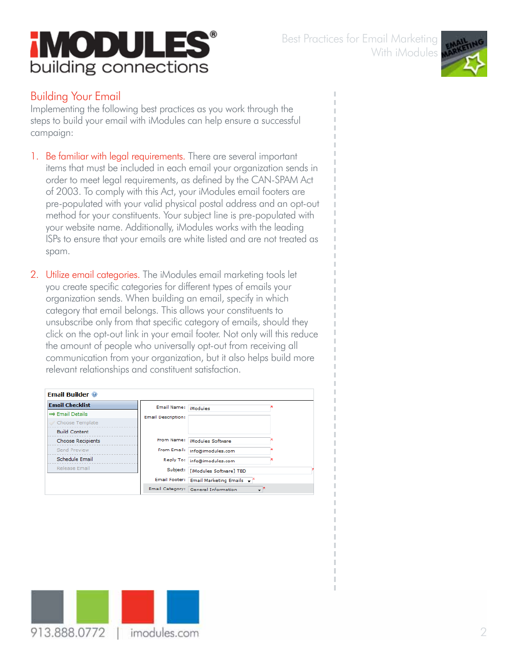



# **iMODULE!** building connections

## Building Your Email

Implementing the following best practices as you work through the steps to build your email with iModules can help ensure a successful campaign:

- 1. Be familiar with legal requirements. There are several important items that must be included in each email your organization sends in order to meet legal requirements, as defined by the CAN-SPAM Act of 2003. To comply with this Act, your iModules email footers are pre-populated with your valid physical postal address and an opt-out method for your constituents. Your subject line is pre-populated with your website name. Additionally, iModules works with the leading ISPs to ensure that your emails are white listed and are not treated as spam.
- 2. Utilize email categories. The iModules email marketing tools let you create specific categories for different types of emails your organization sends. When building an email, specify in which category that email belongs. This allows your constituents to unsubscribe only from that specific category of emails, should they click on the opt-out link in your email footer. Not only will this reduce the amount of people who universally opt-out from receiving all communication from your organization, but it also helps build more relevant relationships and constituent satisfaction.

| <b>Email Builder @</b>      |                           |                                                               |  |
|-----------------------------|---------------------------|---------------------------------------------------------------|--|
| <b>Email Checklist</b>      | Email Name:   iModules    |                                                               |  |
| $\Rightarrow$ Email Details | <b>Email Description:</b> |                                                               |  |
| Choose Template             |                           |                                                               |  |
| <b>Build Content</b>        |                           |                                                               |  |
| Choose Recipients           |                           | From Name:   iModules Software                                |  |
| Send Preview                | From Email:               | info@imodules.com                                             |  |
| Schedule Email              |                           | Reply To: info@imodules.com                                   |  |
| Release Email               | Subject:                  | [iModules Software] TBD                                       |  |
|                             |                           | Email Footer: Email Marketing Emails $\rightarrow$ $\uparrow$ |  |
|                             |                           | Email Category: General Information                           |  |

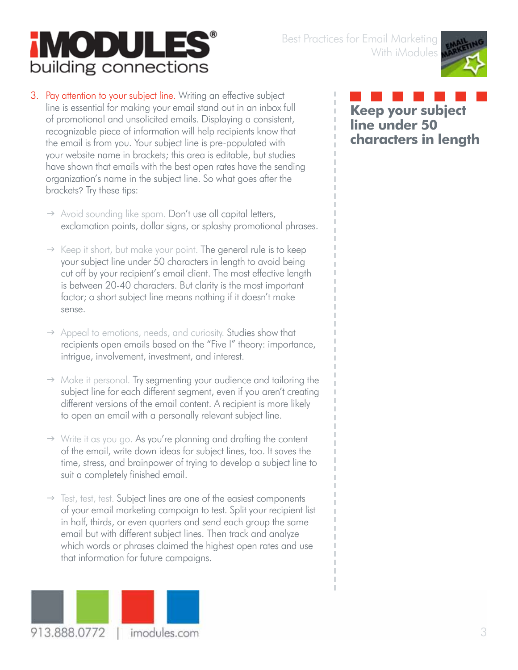# **iMODULE** building connections



#### 3. Pay attention to your subject line. Writing an effective subject line is essential for making your email stand out in an inbox full of promotional and unsolicited emails. Displaying a consistent, recognizable piece of information will help recipients know that the email is from you. Your subject line is pre-populated with your website name in brackets; this area is editable, but studies have shown that emails with the best open rates have the sending organization's name in the subject line. So what goes after the brackets? Try these tips:

- $\rightarrow$  Avoid sounding like spam. Don't use all capital letters, exclamation points, dollar signs, or splashy promotional phrases.
- $\rightarrow$  Keep it short, but make your point. The general rule is to keep your subject line under 50 characters in length to avoid being cut off by your recipient's email client. The most effective length is between 20-40 characters. But clarity is the most important factor; a short subject line means nothing if it doesn't make sense.
- $\rightarrow$  Appeal to emotions, needs, and curiosity. Studies show that recipients open emails based on the "Five I" theory: importance, intrigue, involvement, investment, and interest.
- $\rightarrow$  Make it personal. Try segmenting your audience and tailoring the subject line for each different segment, even if you aren't creating different versions of the email content. A recipient is more likely to open an email with a personally relevant subject line.
- $\rightarrow$  Write it as you go. As you're planning and drafting the content of the email, write down ideas for subject lines, too. It saves the time, stress, and brainpower of trying to develop a subject line to suit a completely finished email.
- $\rightarrow$  Test, test, test. Subject lines are one of the easiest components of your email marketing campaign to test. Split your recipient list in half, thirds, or even quarters and send each group the same email but with different subject lines. Then track and analyze which words or phrases claimed the highest open rates and use that information for future campaigns.



**Keep your subject line under 50 characters in length**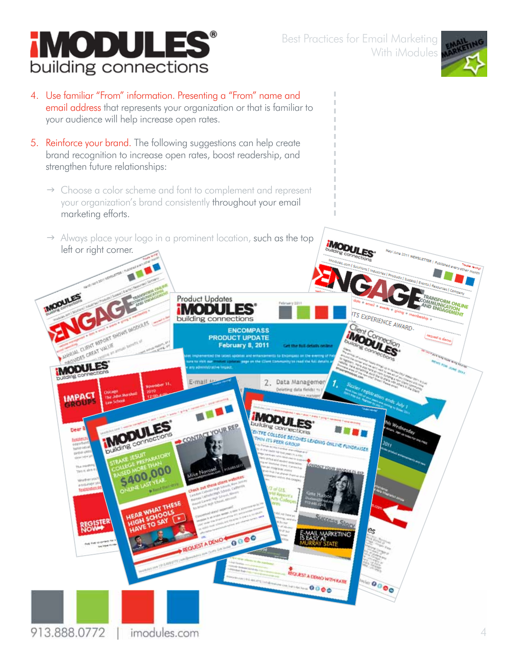

- 4. Use familiar "From" information. Presenting a "From" name and email address that represents your organization or that is familiar to your audience will help increase open rates.
- 5. Reinforce your brand. The following suggestions can help create brand recognition to increase open rates, boost readership, and strengthen future relationships:
	- $\rightarrow$  Choose a color scheme and font to complement and represent your organization's brand consistently throughout your email marketing efforts.
	- $\rightarrow$  Always place your logo in a prominent location, such as the top left or right corner.

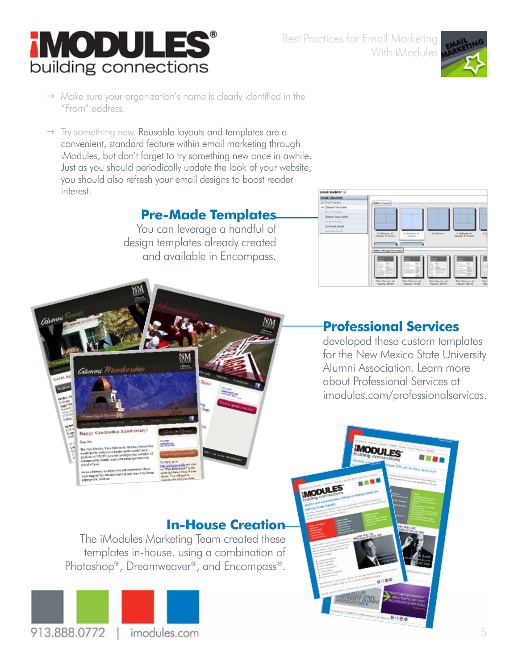



- $\rightarrow$  Make sure your organization's name is clearly identified in the "From" address.
- $\rightarrow$  Try something new. Reusable layouts and templates are a convenient, standard feature within email marketing through iModules, but don't forget to try something new once in awhile. Just as you should periodically update the look of your website, you should also refresh your email designs to boost reader interest.

# **Pre-Made Templates**

You can leverage a handful of design templates already created and available in Encompass.



# **Professional Services**

developed these custom templates for the New Mexico State University Alumni Association. Learn more about Professional Services at imodules.com/professionalservices.



The iModules Marketing Team created these templates in-house. using a combination of Photoshop®, Dreamweaver®, and Encompass®.



Happy Graduation Anniversary!

 $1 - 4$ 

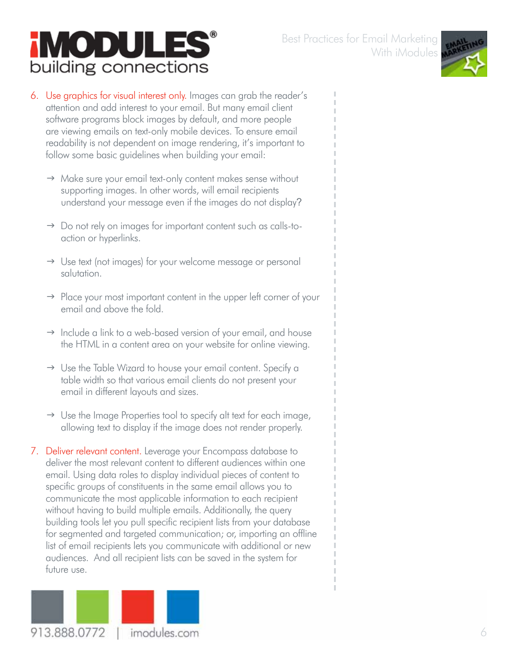# **iMODULES®** building connections



- 6. Use graphics for visual interest only. Images can grab the reader's attention and add interest to your email. But many email client software programs block images by default, and more people are viewing emails on text-only mobile devices. To ensure email readability is not dependent on image rendering, it's important to follow some basic guidelines when building your email:
	- $\rightarrow$  Make sure your email text-only content makes sense without supporting images. In other words, will email recipients understand your message even if the images do not display?
	- $\rightarrow$  Do not rely on images for important content such as calls-toaction or hyperlinks.
	- $\rightarrow$  Use text (not images) for your welcome message or personal salutation.
	- $\rightarrow$  Place your most important content in the upper left corner of your email and above the fold.
	- $\rightarrow$  Include a link to a web-based version of your email, and house the HTML in a content area on your website for online viewing.
	- $\rightarrow$  Use the Table Wizard to house your email content. Specify a table width so that various email clients do not present your email in different layouts and sizes.
	- $\rightarrow$  Use the Image Properties tool to specify alt text for each image, allowing text to display if the image does not render properly.
- 7. Deliver relevant content. Leverage your Encompass database to deliver the most relevant content to different audiences within one email. Using data roles to display individual pieces of content to specific groups of constituents in the same email allows you to communicate the most applicable information to each recipient without having to build multiple emails. Additionally, the query building tools let you pull specific recipient lists from your database for segmented and targeted communication; or, importing an offline list of email recipients lets you communicate with additional or new audiences. And all recipient lists can be saved in the system for future use.

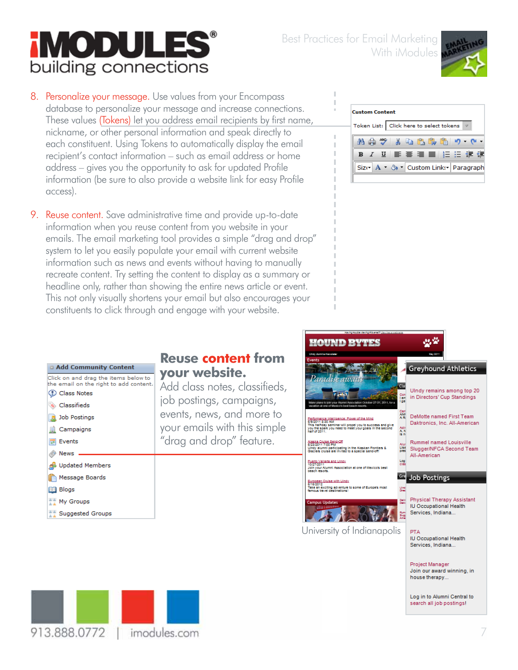# **iMODULE** building connections



8. Personalize your message. Use values from your Encompass database to personalize your message and increase connections. These values (Tokens) let you address email recipients by first name, nickname, or other personal information and speak directly to each constituent. Using Tokens to automatically display the email recipient's contact information – such as email address or home address – gives you the opportunity to ask for updated Profile information (be sure to also provide a website link for easy Profile access).

9. Reuse content. Save administrative time and provide up-to-date information when you reuse content from you website in your emails. The email marketing tool provides a simple "drag and drop" system to let you easily populate your email with current website information such as news and events without having to manually recreate content. Try setting the content to display as a summary or headline only, rather than showing the entire news article or event. This not only visually shortens your email but also encourages your constituents to click through and engage with your website.

| <b>Custom Content</b> |                                           |  |  |  |
|-----------------------|-------------------------------------------|--|--|--|
|                       | Token List: Click here to select tokens   |  |  |  |
|                       | 86.69 X & 68.69 G 9 P                     |  |  |  |
|                       | B Z 四 国 喜 理 重 指 狂 建 建                     |  |  |  |
|                       | Size   A + & +   Custom Links   Paragraph |  |  |  |
|                       |                                           |  |  |  |



# **Reuse content from your website.**

Add class notes, classifieds, job postings, campaigns, events, news, and more to your emails with this simple "drag and drop" feature.



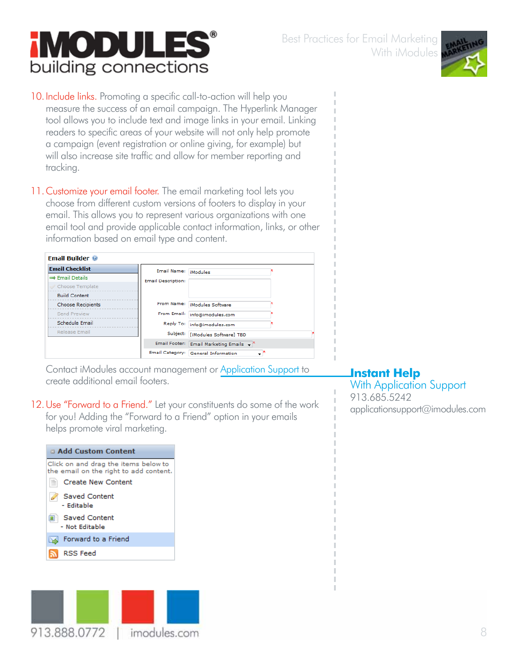8

#### 10. Include links. Promoting a specific call-to-action will help you measure the success of an email campaign. The Hyperlink Manager tool allows you to include text and image links in your email. Linking readers to specific areas of your website will not only help promote a campaign (event registration or online giving, for example) but will also increase site traffic and allow for member reporting and tracking.

**iMODULE** 

**Email Builder** @

building connections

11. Customize your email footer. The email marketing tool lets you choose from different custom versions of footers to display in your email. This allows you to represent various organizations with one email tool and provide applicable contact information, links, or other information based on email type and content.

#### **Email Checklist** Email Name: iModules ⇒ Email Details **Email Description:** Choose Template **Build Content** From Name: iModules Software Choose Recipients Send Preview From Email: info@imodules.com Schedule Email Reply To: info@imodules.com Release Email Subject: [iModules Software] TBD Email Footer: Email Marketing Emails v Email Category: General Information ⊋\*

Contact iModules account management or Application Support to create additional email footers.

# 12.Use "Forward to a Friend." Let your constituents do some of the work for you! Adding the "Forward to a Friend" option in your emails

helps promote viral marketing.



913.888.0772





## **Instant Help**

With Application Support 913.685.5242 applicationsupport@imodules.com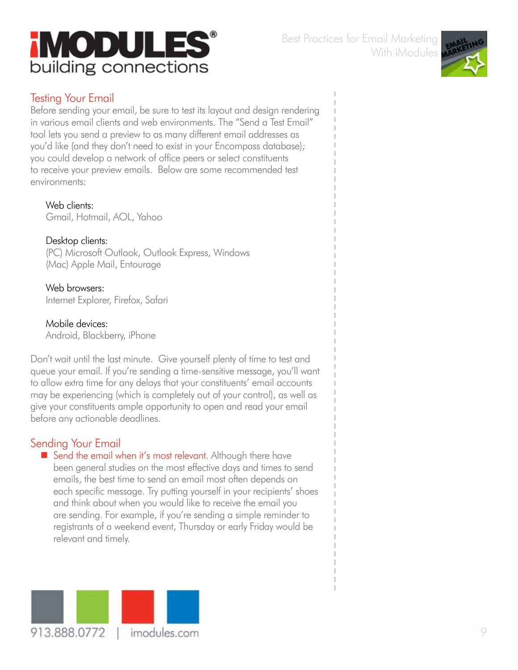



## Testing Your Email

Before sending your email, be sure to test its layout and design rendering in various email clients and web environments. The "Send a Test Email" tool lets you send a preview to as many different email addresses as you'd like (and they don't need to exist in your Encompass database); you could develop a network of office peers or select constituents to receive your preview emails. Below are some recommended test environments:

Web clients: Gmail, Hotmail, AOL, Yahoo

Desktop clients: (PC) Microsoft Outlook, Outlook Express, Windows (Mac) Apple Mail, Entourage

Web browsers: Internet Explorer, Firefox, Safari

Mobile devices: Android, Blackberry, iPhone

Don't wait until the last minute. Give yourself plenty of time to test and queue your email. If you're sending a time-sensitive message, you'll want to allow extra time for any delays that your constituents' email accounts may be experiencing (which is completely out of your control), as well as give your constituents ample opportunity to open and read your email before any actionable deadlines.

## Sending Your Email

Send the email when it's most relevant. Although there have been general studies on the most effective days and times to send emails, the best time to send an email most often depends on each specific message. Try putting yourself in your recipients' shoes and think about when you would like to receive the email you are sending. For example, if you're sending a simple reminder to registrants of a weekend event, Thursday or early Friday would be relevant and timely.

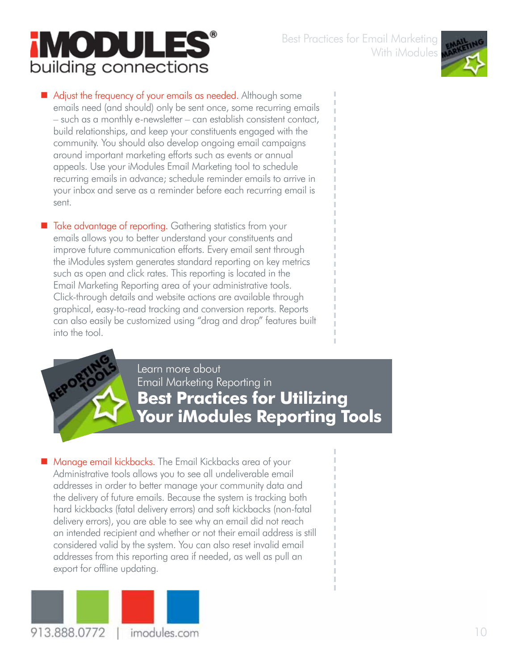т



Adjust the frequency of your emails as needed. Although some emails need (and should) only be sent once, some recurring emails – such as a monthly e-newsletter – can establish consistent contact, build relationships, and keep your constituents engaged with the community. You should also develop ongoing email campaigns around important marketing efforts such as events or annual appeals. Use your iModules Email Marketing tool to schedule recurring emails in advance; schedule reminder emails to arrive in your inbox and serve as a reminder before each recurring email is sent.

■ Take advantage of reporting. Gathering statistics from your emails allows you to better understand your constituents and improve future communication efforts. Every email sent through the iModules system generates standard reporting on key metrics such as open and click rates. This reporting is located in the Email Marketing Reporting area of your administrative tools. Click-through details and website actions are available through graphical, easy-to-read tracking and conversion reports. Reports can also easily be customized using "drag and drop" features built into the tool.



Learn more about Email Marketing Reporting in **Best Practices for Utilizing Your iModules Reporting Tools**

■ Manage email kickbacks. The Email Kickbacks area of your Administrative tools allows you to see all undeliverable email addresses in order to better manage your community data and the delivery of future emails. Because the system is tracking both hard kickbacks (fatal delivery errors) and soft kickbacks (non-fatal delivery errors), you are able to see why an email did not reach an intended recipient and whether or not their email address is still considered valid by the system. You can also reset invalid email addresses from this reporting area if needed, as well as pull an export for offline updating.